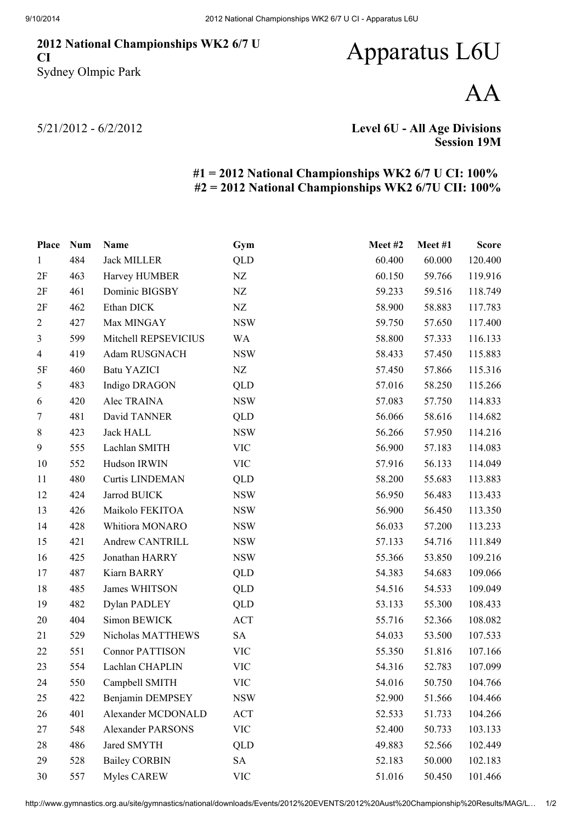## National Championships WK2 6/7 U CI Sydney Olmpic Park

## Apparatus L6U

AA

5/21/2012 - 6/2/2012

Level 6U - All Age Divisions Session 19M

## #1 = 2012 National Championships WK2 6/7 U CI: 100% #2 = 2012 National Championships WK2 6/7U CII: 100%

| <b>Place</b>   | <b>Num</b> | Name                     | Gym        | Meet#2 | Meet#1 | <b>Score</b> |
|----------------|------------|--------------------------|------------|--------|--------|--------------|
| $\mathbf{1}$   | 484        | <b>Jack MILLER</b>       | <b>QLD</b> | 60.400 | 60.000 | 120.400      |
| 2F             | 463        | Harvey HUMBER            | ${\rm NZ}$ | 60.150 | 59.766 | 119.916      |
| 2F             | 461        | Dominic BIGSBY           | NZ         | 59.233 | 59.516 | 118.749      |
| 2F             | 462        | Ethan DICK               | NZ         | 58.900 | 58.883 | 117.783      |
| $\overline{2}$ | 427        | Max MINGAY               | <b>NSW</b> | 59.750 | 57.650 | 117.400      |
| $\mathfrak{Z}$ | 599        | Mitchell REPSEVICIUS     | <b>WA</b>  | 58.800 | 57.333 | 116.133      |
| $\overline{4}$ | 419        | Adam RUSGNACH            | <b>NSW</b> | 58.433 | 57.450 | 115.883      |
| 5F             | 460        | <b>Batu YAZICI</b>       | NZ         | 57.450 | 57.866 | 115.316      |
| 5              | 483        | Indigo DRAGON            | QLD        | 57.016 | 58.250 | 115.266      |
| 6              | 420        | Alec TRAINA              | <b>NSW</b> | 57.083 | 57.750 | 114.833      |
| 7              | 481        | David TANNER             | QLD        | 56.066 | 58.616 | 114.682      |
| $\,8\,$        | 423        | <b>Jack HALL</b>         | <b>NSW</b> | 56.266 | 57.950 | 114.216      |
| 9              | 555        | Lachlan SMITH            | <b>VIC</b> | 56.900 | 57.183 | 114.083      |
| 10             | 552        | Hudson IRWIN             | <b>VIC</b> | 57.916 | 56.133 | 114.049      |
| 11             | 480        | <b>Curtis LINDEMAN</b>   | QLD        | 58.200 | 55.683 | 113.883      |
| 12             | 424        | Jarrod BUICK             | <b>NSW</b> | 56.950 | 56.483 | 113.433      |
| 13             | 426        | Maikolo FEKITOA          | <b>NSW</b> | 56.900 | 56.450 | 113.350      |
| 14             | 428        | Whitiora MONARO          | <b>NSW</b> | 56.033 | 57.200 | 113.233      |
| 15             | 421        | Andrew CANTRILL          | <b>NSW</b> | 57.133 | 54.716 | 111.849      |
| 16             | 425        | Jonathan HARRY           | <b>NSW</b> | 55.366 | 53.850 | 109.216      |
| 17             | 487        | Kiarn BARRY              | QLD        | 54.383 | 54.683 | 109.066      |
| 18             | 485        | James WHITSON            | QLD        | 54.516 | 54.533 | 109.049      |
| 19             | 482        | Dylan PADLEY             | QLD        | 53.133 | 55.300 | 108.433      |
| 20             | 404        | Simon BEWICK             | <b>ACT</b> | 55.716 | 52.366 | 108.082      |
| 21             | 529        | Nicholas MATTHEWS        | <b>SA</b>  | 54.033 | 53.500 | 107.533      |
| 22             | 551        | <b>Connor PATTISON</b>   | <b>VIC</b> | 55.350 | 51.816 | 107.166      |
| 23             | 554        | Lachlan CHAPLIN          | <b>VIC</b> | 54.316 | 52.783 | 107.099      |
| 24             | 550        | Campbell SMITH           | <b>VIC</b> | 54.016 | 50.750 | 104.766      |
| 25             | 422        | Benjamin DEMPSEY         | <b>NSW</b> | 52.900 | 51.566 | 104.466      |
| 26             | 401        | Alexander MCDONALD       | <b>ACT</b> | 52.533 | 51.733 | 104.266      |
| 27             | 548        | <b>Alexander PARSONS</b> | <b>VIC</b> | 52.400 | 50.733 | 103.133      |
| 28             | 486        | Jared SMYTH              | QLD        | 49.883 | 52.566 | 102.449      |
| 29             | 528        | <b>Bailey CORBIN</b>     | SA         | 52.183 | 50.000 | 102.183      |
| 30             | 557        | Myles CAREW              | <b>VIC</b> | 51.016 | 50.450 | 101.466      |